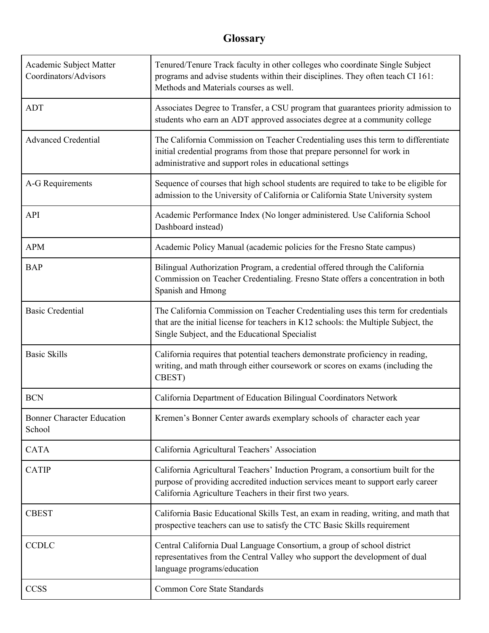## **Glossary**

| Academic Subject Matter<br>Coordinators/Advisors | Tenured/Tenure Track faculty in other colleges who coordinate Single Subject<br>programs and advise students within their disciplines. They often teach CI 161:<br>Methods and Materials courses as well.                        |
|--------------------------------------------------|----------------------------------------------------------------------------------------------------------------------------------------------------------------------------------------------------------------------------------|
| <b>ADT</b>                                       | Associates Degree to Transfer, a CSU program that guarantees priority admission to<br>students who earn an ADT approved associates degree at a community college                                                                 |
| <b>Advanced Credential</b>                       | The California Commission on Teacher Credentialing uses this term to differentiate<br>initial credential programs from those that prepare personnel for work in<br>administrative and support roles in educational settings      |
| A-G Requirements                                 | Sequence of courses that high school students are required to take to be eligible for<br>admission to the University of California or California State University system                                                         |
| API                                              | Academic Performance Index (No longer administered. Use California School<br>Dashboard instead)                                                                                                                                  |
| <b>APM</b>                                       | Academic Policy Manual (academic policies for the Fresno State campus)                                                                                                                                                           |
| <b>BAP</b>                                       | Bilingual Authorization Program, a credential offered through the California<br>Commission on Teacher Credentialing. Fresno State offers a concentration in both<br>Spanish and Hmong                                            |
| <b>Basic Credential</b>                          | The California Commission on Teacher Credentialing uses this term for credentials<br>that are the initial license for teachers in K12 schools: the Multiple Subject, the<br>Single Subject, and the Educational Specialist       |
| <b>Basic Skills</b>                              | California requires that potential teachers demonstrate proficiency in reading,<br>writing, and math through either coursework or scores on exams (including the<br>CBEST)                                                       |
| <b>BCN</b>                                       | California Department of Education Bilingual Coordinators Network                                                                                                                                                                |
| <b>Bonner Character Education</b><br>School      | Kremen's Bonner Center awards exemplary schools of character each year                                                                                                                                                           |
| <b>CATA</b>                                      | California Agricultural Teachers' Association                                                                                                                                                                                    |
| <b>CATIP</b>                                     | California Agricultural Teachers' Induction Program, a consortium built for the<br>purpose of providing accredited induction services meant to support early career<br>California Agriculture Teachers in their first two years. |
| <b>CBEST</b>                                     | California Basic Educational Skills Test, an exam in reading, writing, and math that<br>prospective teachers can use to satisfy the CTC Basic Skills requirement                                                                 |
| <b>CCDLC</b>                                     | Central California Dual Language Consortium, a group of school district<br>representatives from the Central Valley who support the development of dual<br>language programs/education                                            |
| <b>CCSS</b>                                      | <b>Common Core State Standards</b>                                                                                                                                                                                               |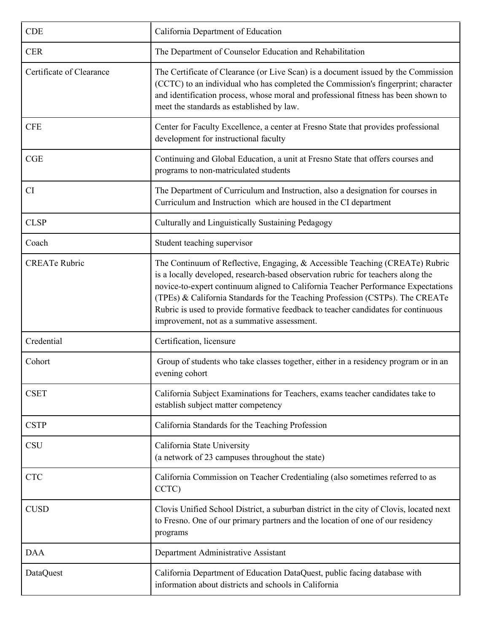| <b>CDE</b>               | California Department of Education                                                                                                                                                                                                                                                                                                                                                                                                                                         |
|--------------------------|----------------------------------------------------------------------------------------------------------------------------------------------------------------------------------------------------------------------------------------------------------------------------------------------------------------------------------------------------------------------------------------------------------------------------------------------------------------------------|
| <b>CER</b>               | The Department of Counselor Education and Rehabilitation                                                                                                                                                                                                                                                                                                                                                                                                                   |
| Certificate of Clearance | The Certificate of Clearance (or Live Scan) is a document issued by the Commission<br>(CCTC) to an individual who has completed the Commission's fingerprint; character<br>and identification process, whose moral and professional fitness has been shown to<br>meet the standards as established by law.                                                                                                                                                                 |
| <b>CFE</b>               | Center for Faculty Excellence, a center at Fresno State that provides professional<br>development for instructional faculty                                                                                                                                                                                                                                                                                                                                                |
| CGE                      | Continuing and Global Education, a unit at Fresno State that offers courses and<br>programs to non-matriculated students                                                                                                                                                                                                                                                                                                                                                   |
| <b>CI</b>                | The Department of Curriculum and Instruction, also a designation for courses in<br>Curriculum and Instruction which are housed in the CI department                                                                                                                                                                                                                                                                                                                        |
| <b>CLSP</b>              | Culturally and Linguistically Sustaining Pedagogy                                                                                                                                                                                                                                                                                                                                                                                                                          |
| Coach                    | Student teaching supervisor                                                                                                                                                                                                                                                                                                                                                                                                                                                |
| <b>CREATe Rubric</b>     | The Continuum of Reflective, Engaging, & Accessible Teaching (CREATe) Rubric<br>is a locally developed, research-based observation rubric for teachers along the<br>novice-to-expert continuum aligned to California Teacher Performance Expectations<br>(TPEs) & California Standards for the Teaching Profession (CSTPs). The CREATe<br>Rubric is used to provide formative feedback to teacher candidates for continuous<br>improvement, not as a summative assessment. |
| Credential               | Certification, licensure                                                                                                                                                                                                                                                                                                                                                                                                                                                   |
| Cohort                   | Group of students who take classes together, either in a residency program or in an<br>evening cohort                                                                                                                                                                                                                                                                                                                                                                      |
| <b>CSET</b>              | California Subject Examinations for Teachers, exams teacher candidates take to<br>establish subject matter competency                                                                                                                                                                                                                                                                                                                                                      |
| <b>CSTP</b>              | California Standards for the Teaching Profession                                                                                                                                                                                                                                                                                                                                                                                                                           |
| <b>CSU</b>               | California State University<br>(a network of 23 campuses throughout the state)                                                                                                                                                                                                                                                                                                                                                                                             |
| <b>CTC</b>               | California Commission on Teacher Credentialing (also sometimes referred to as<br>CCTC)                                                                                                                                                                                                                                                                                                                                                                                     |
| <b>CUSD</b>              | Clovis Unified School District, a suburban district in the city of Clovis, located next<br>to Fresno. One of our primary partners and the location of one of our residency<br>programs                                                                                                                                                                                                                                                                                     |
| <b>DAA</b>               | Department Administrative Assistant                                                                                                                                                                                                                                                                                                                                                                                                                                        |
| <b>DataQuest</b>         | California Department of Education DataQuest, public facing database with<br>information about districts and schools in California                                                                                                                                                                                                                                                                                                                                         |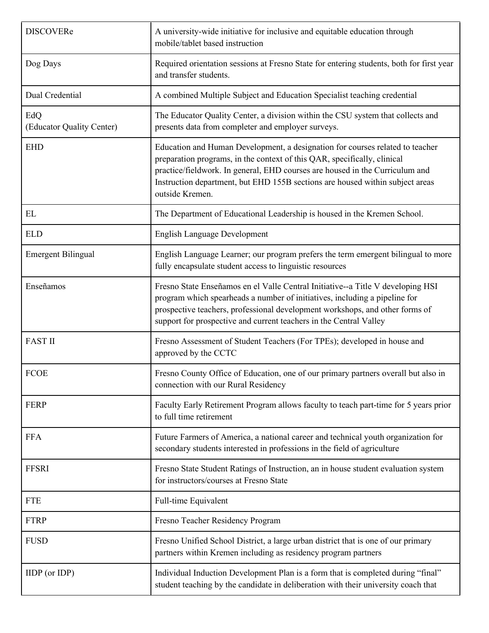| <b>DISCOVERe</b>                 | A university-wide initiative for inclusive and equitable education through<br>mobile/tablet based instruction                                                                                                                                                                                                                                 |
|----------------------------------|-----------------------------------------------------------------------------------------------------------------------------------------------------------------------------------------------------------------------------------------------------------------------------------------------------------------------------------------------|
| Dog Days                         | Required orientation sessions at Fresno State for entering students, both for first year<br>and transfer students.                                                                                                                                                                                                                            |
| Dual Credential                  | A combined Multiple Subject and Education Specialist teaching credential                                                                                                                                                                                                                                                                      |
| EdQ<br>(Educator Quality Center) | The Educator Quality Center, a division within the CSU system that collects and<br>presents data from completer and employer surveys.                                                                                                                                                                                                         |
| <b>EHD</b>                       | Education and Human Development, a designation for courses related to teacher<br>preparation programs, in the context of this QAR, specifically, clinical<br>practice/fieldwork. In general, EHD courses are housed in the Curriculum and<br>Instruction department, but EHD 155B sections are housed within subject areas<br>outside Kremen. |
| EL                               | The Department of Educational Leadership is housed in the Kremen School.                                                                                                                                                                                                                                                                      |
| <b>ELD</b>                       | <b>English Language Development</b>                                                                                                                                                                                                                                                                                                           |
| <b>Emergent Bilingual</b>        | English Language Learner; our program prefers the term emergent bilingual to more<br>fully encapsulate student access to linguistic resources                                                                                                                                                                                                 |
| Enseñamos                        | Fresno State Enseñamos en el Valle Central Initiative--a Title V developing HSI<br>program which spearheads a number of initiatives, including a pipeline for<br>prospective teachers, professional development workshops, and other forms of<br>support for prospective and current teachers in the Central Valley                           |
| <b>FAST II</b>                   | Fresno Assessment of Student Teachers (For TPEs); developed in house and<br>approved by the CCTC                                                                                                                                                                                                                                              |
| <b>FCOE</b>                      | Fresno County Office of Education, one of our primary partners overall but also in<br>connection with our Rural Residency                                                                                                                                                                                                                     |
| <b>FERP</b>                      | Faculty Early Retirement Program allows faculty to teach part-time for 5 years prior<br>to full time retirement                                                                                                                                                                                                                               |
| <b>FFA</b>                       | Future Farmers of America, a national career and technical youth organization for<br>secondary students interested in professions in the field of agriculture                                                                                                                                                                                 |
| <b>FFSRI</b>                     | Fresno State Student Ratings of Instruction, an in house student evaluation system<br>for instructors/courses at Fresno State                                                                                                                                                                                                                 |
| <b>FTE</b>                       | Full-time Equivalent                                                                                                                                                                                                                                                                                                                          |
| <b>FTRP</b>                      | Fresno Teacher Residency Program                                                                                                                                                                                                                                                                                                              |
| <b>FUSD</b>                      | Fresno Unified School District, a large urban district that is one of our primary<br>partners within Kremen including as residency program partners                                                                                                                                                                                           |
| $IIDP$ (or $IDP$ )               | Individual Induction Development Plan is a form that is completed during "final"<br>student teaching by the candidate in deliberation with their university coach that                                                                                                                                                                        |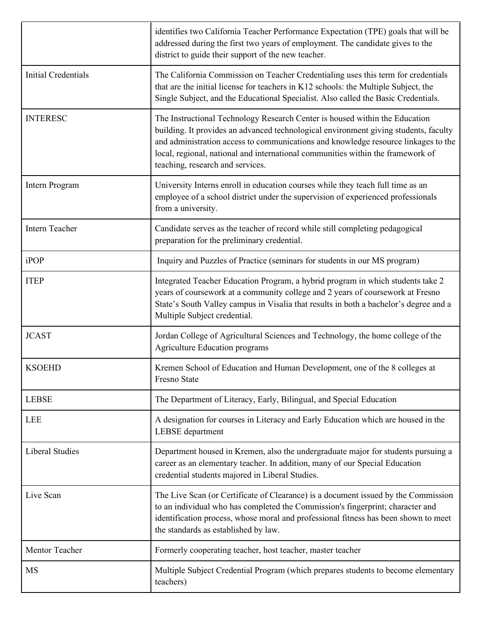|                        | identifies two California Teacher Performance Expectation (TPE) goals that will be<br>addressed during the first two years of employment. The candidate gives to the<br>district to guide their support of the new teacher.                                                                                                                                                      |
|------------------------|----------------------------------------------------------------------------------------------------------------------------------------------------------------------------------------------------------------------------------------------------------------------------------------------------------------------------------------------------------------------------------|
| Initial Credentials    | The California Commission on Teacher Credentialing uses this term for credentials<br>that are the initial license for teachers in K12 schools: the Multiple Subject, the<br>Single Subject, and the Educational Specialist. Also called the Basic Credentials.                                                                                                                   |
| <b>INTERESC</b>        | The Instructional Technology Research Center is housed within the Education<br>building. It provides an advanced technological environment giving students, faculty<br>and administration access to communications and knowledge resource linkages to the<br>local, regional, national and international communities within the framework of<br>teaching, research and services. |
| Intern Program         | University Interns enroll in education courses while they teach full time as an<br>employee of a school district under the supervision of experienced professionals<br>from a university.                                                                                                                                                                                        |
| Intern Teacher         | Candidate serves as the teacher of record while still completing pedagogical<br>preparation for the preliminary credential.                                                                                                                                                                                                                                                      |
| iPOP                   | Inquiry and Puzzles of Practice (seminars for students in our MS program)                                                                                                                                                                                                                                                                                                        |
| <b>ITEP</b>            | Integrated Teacher Education Program, a hybrid program in which students take 2<br>years of coursework at a community college and 2 years of coursework at Fresno<br>State's South Valley campus in Visalia that results in both a bachelor's degree and a<br>Multiple Subject credential.                                                                                       |
| <b>JCAST</b>           | Jordan College of Agricultural Sciences and Technology, the home college of the<br><b>Agriculture Education programs</b>                                                                                                                                                                                                                                                         |
| <b>KSOEHD</b>          | Kremen School of Education and Human Development, one of the 8 colleges at<br><b>Fresno State</b>                                                                                                                                                                                                                                                                                |
| <b>LEBSE</b>           | The Department of Literacy, Early, Bilingual, and Special Education                                                                                                                                                                                                                                                                                                              |
| <b>LEE</b>             | A designation for courses in Literacy and Early Education which are housed in the<br>LEBSE department                                                                                                                                                                                                                                                                            |
| <b>Liberal Studies</b> | Department housed in Kremen, also the undergraduate major for students pursuing a<br>career as an elementary teacher. In addition, many of our Special Education<br>credential students majored in Liberal Studies.                                                                                                                                                              |
| Live Scan              | The Live Scan (or Certificate of Clearance) is a document issued by the Commission<br>to an individual who has completed the Commission's fingerprint; character and<br>identification process, whose moral and professional fitness has been shown to meet<br>the standards as established by law.                                                                              |
| Mentor Teacher         | Formerly cooperating teacher, host teacher, master teacher                                                                                                                                                                                                                                                                                                                       |
| MS                     | Multiple Subject Credential Program (which prepares students to become elementary<br>teachers)                                                                                                                                                                                                                                                                                   |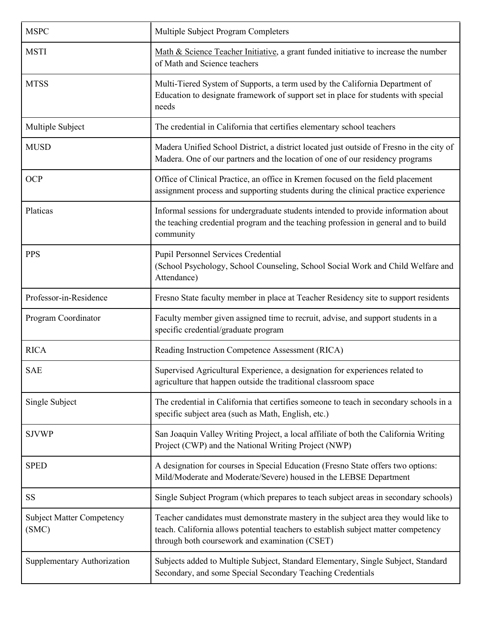| <b>MSPC</b>                               | Multiple Subject Program Completers                                                                                                                                                                                        |
|-------------------------------------------|----------------------------------------------------------------------------------------------------------------------------------------------------------------------------------------------------------------------------|
| <b>MSTI</b>                               | Math $&$ Science Teacher Initiative, a grant funded initiative to increase the number<br>of Math and Science teachers                                                                                                      |
| <b>MTSS</b>                               | Multi-Tiered System of Supports, a term used by the California Department of<br>Education to designate framework of support set in place for students with special<br>needs                                                |
| Multiple Subject                          | The credential in California that certifies elementary school teachers                                                                                                                                                     |
| <b>MUSD</b>                               | Madera Unified School District, a district located just outside of Fresno in the city of<br>Madera. One of our partners and the location of one of our residency programs                                                  |
| <b>OCP</b>                                | Office of Clinical Practice, an office in Kremen focused on the field placement<br>assignment process and supporting students during the clinical practice experience                                                      |
| Platicas                                  | Informal sessions for undergraduate students intended to provide information about<br>the teaching credential program and the teaching profession in general and to build<br>community                                     |
| <b>PPS</b>                                | Pupil Personnel Services Credential<br>(School Psychology, School Counseling, School Social Work and Child Welfare and<br>Attendance)                                                                                      |
| Professor-in-Residence                    | Fresno State faculty member in place at Teacher Residency site to support residents                                                                                                                                        |
| Program Coordinator                       | Faculty member given assigned time to recruit, advise, and support students in a<br>specific credential/graduate program                                                                                                   |
| <b>RICA</b>                               | Reading Instruction Competence Assessment (RICA)                                                                                                                                                                           |
| <b>SAE</b>                                | Supervised Agricultural Experience, a designation for experiences related to<br>agriculture that happen outside the traditional classroom space                                                                            |
| Single Subject                            | The credential in California that certifies someone to teach in secondary schools in a<br>specific subject area (such as Math, English, etc.)                                                                              |
| <b>SJVWP</b>                              | San Joaquin Valley Writing Project, a local affiliate of both the California Writing<br>Project (CWP) and the National Writing Project (NWP)                                                                               |
| <b>SPED</b>                               | A designation for courses in Special Education (Fresno State offers two options:<br>Mild/Moderate and Moderate/Severe) housed in the LEBSE Department                                                                      |
| <b>SS</b>                                 | Single Subject Program (which prepares to teach subject areas in secondary schools)                                                                                                                                        |
| <b>Subject Matter Competency</b><br>(SMC) | Teacher candidates must demonstrate mastery in the subject area they would like to<br>teach. California allows potential teachers to establish subject matter competency<br>through both coursework and examination (CSET) |
| Supplementary Authorization               | Subjects added to Multiple Subject, Standard Elementary, Single Subject, Standard<br>Secondary, and some Special Secondary Teaching Credentials                                                                            |